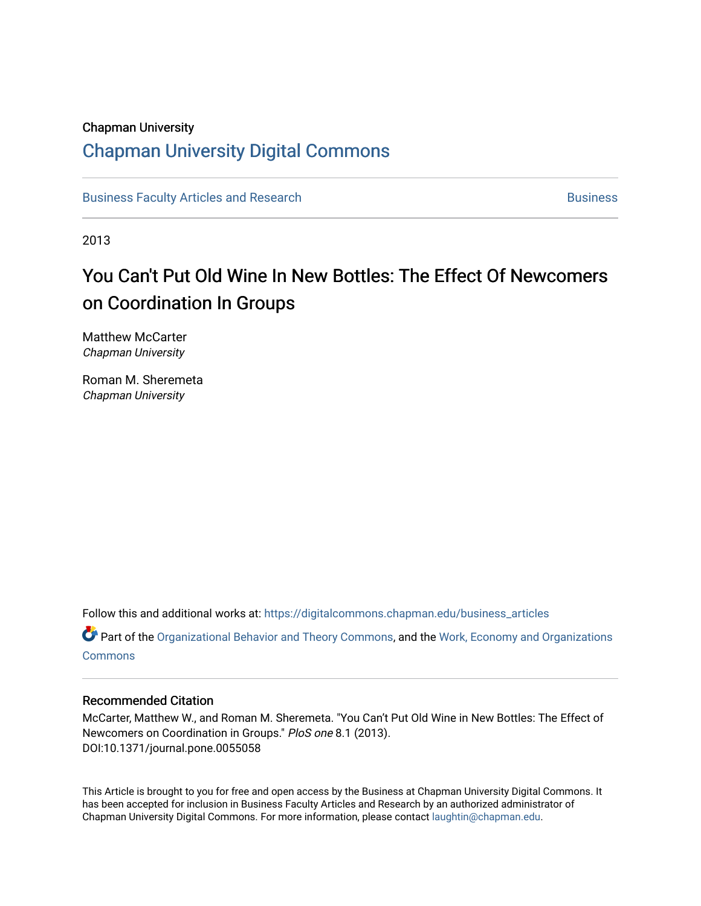## Chapman University

## [Chapman University Digital Commons](https://digitalcommons.chapman.edu/)

[Business Faculty Articles and Research](https://digitalcommons.chapman.edu/business_articles) [Business](https://digitalcommons.chapman.edu/business) **Business** Business

2013

# You Can't Put Old Wine In New Bottles: The Effect Of Newcomers on Coordination In Groups

Matthew McCarter Chapman University

Roman M. Sheremeta Chapman University

Follow this and additional works at: [https://digitalcommons.chapman.edu/business\\_articles](https://digitalcommons.chapman.edu/business_articles?utm_source=digitalcommons.chapman.edu%2Fbusiness_articles%2F5&utm_medium=PDF&utm_campaign=PDFCoverPages) 

Part of the [Organizational Behavior and Theory Commons,](http://network.bepress.com/hgg/discipline/639?utm_source=digitalcommons.chapman.edu%2Fbusiness_articles%2F5&utm_medium=PDF&utm_campaign=PDFCoverPages) and the [Work, Economy and Organizations](http://network.bepress.com/hgg/discipline/433?utm_source=digitalcommons.chapman.edu%2Fbusiness_articles%2F5&utm_medium=PDF&utm_campaign=PDFCoverPages) **[Commons](http://network.bepress.com/hgg/discipline/433?utm_source=digitalcommons.chapman.edu%2Fbusiness_articles%2F5&utm_medium=PDF&utm_campaign=PDFCoverPages)** 

### Recommended Citation

McCarter, Matthew W., and Roman M. Sheremeta. "You Can't Put Old Wine in New Bottles: The Effect of Newcomers on Coordination in Groups." PloS one 8.1 (2013). DOI:10.1371/journal.pone.0055058

This Article is brought to you for free and open access by the Business at Chapman University Digital Commons. It has been accepted for inclusion in Business Faculty Articles and Research by an authorized administrator of Chapman University Digital Commons. For more information, please contact [laughtin@chapman.edu](mailto:laughtin@chapman.edu).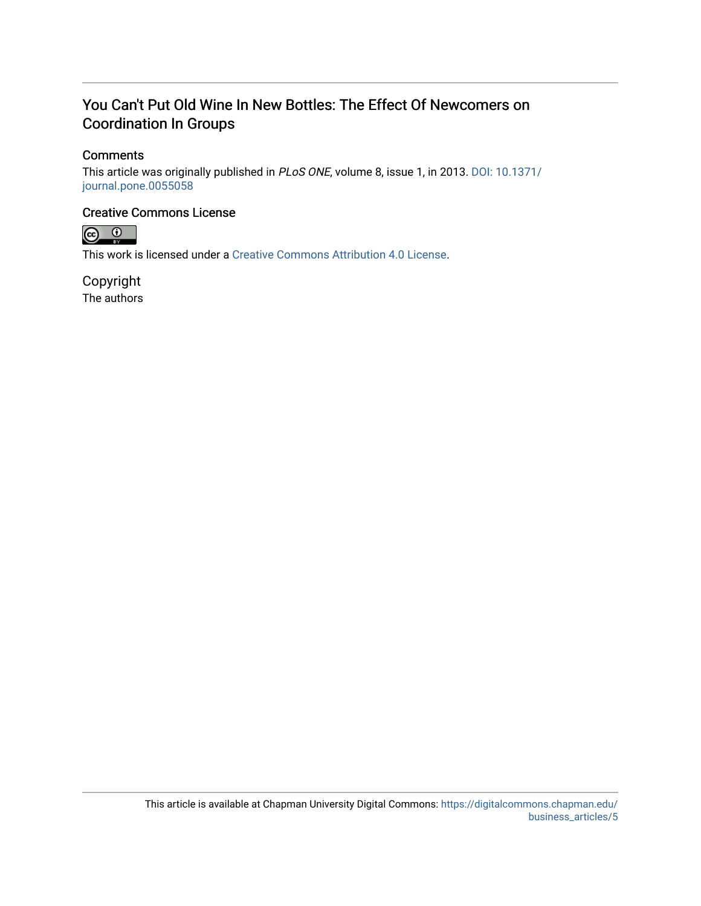## You Can't Put Old Wine In New Bottles: The Effect Of Newcomers on Coordination In Groups

## **Comments**

This article was originally published in PLoS ONE, volume 8, issue 1, in 2013. [DOI: 10.1371/](http://dx.doi.org/10.1371/journal.pone.0055058) [journal.pone.0055058](http://dx.doi.org/10.1371/journal.pone.0055058) 

## Creative Commons License



This work is licensed under a [Creative Commons Attribution 4.0 License](https://creativecommons.org/licenses/by/4.0/).

Copyright The authors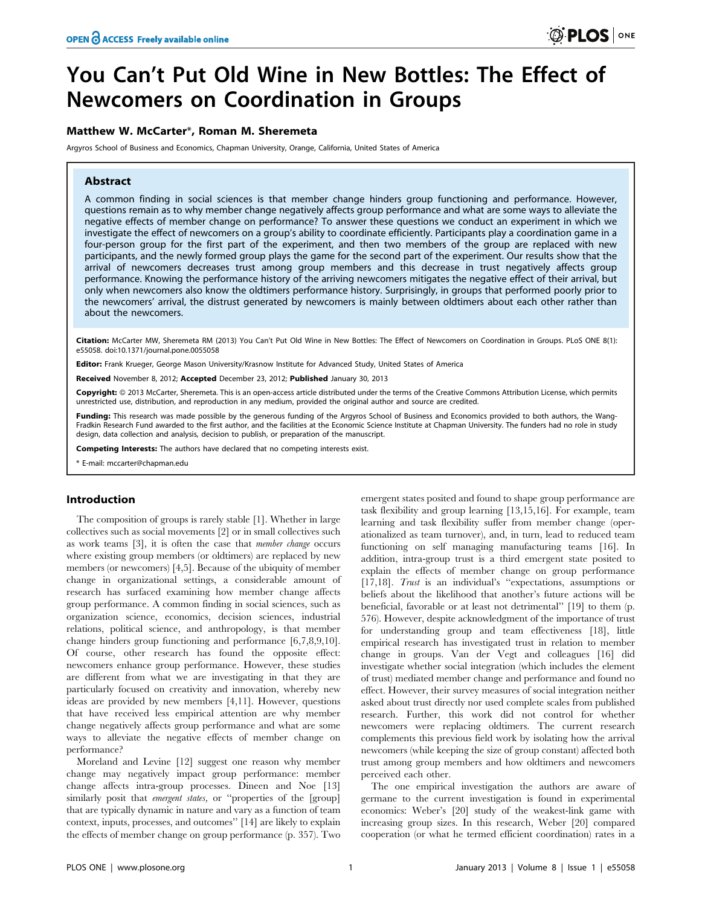# You Can't Put Old Wine in New Bottles: The Effect of Newcomers on Coordination in Groups

#### Matthew W. McCarter\*, Roman M. Sheremeta

Argyros School of Business and Economics, Chapman University, Orange, California, United States of America

#### Abstract

A common finding in social sciences is that member change hinders group functioning and performance. However, questions remain as to why member change negatively affects group performance and what are some ways to alleviate the negative effects of member change on performance? To answer these questions we conduct an experiment in which we investigate the effect of newcomers on a group's ability to coordinate efficiently. Participants play a coordination game in a four-person group for the first part of the experiment, and then two members of the group are replaced with new participants, and the newly formed group plays the game for the second part of the experiment. Our results show that the arrival of newcomers decreases trust among group members and this decrease in trust negatively affects group performance. Knowing the performance history of the arriving newcomers mitigates the negative effect of their arrival, but only when newcomers also know the oldtimers performance history. Surprisingly, in groups that performed poorly prior to the newcomers' arrival, the distrust generated by newcomers is mainly between oldtimers about each other rather than about the newcomers.

Citation: McCarter MW, Sheremeta RM (2013) You Can't Put Old Wine in New Bottles: The Effect of Newcomers on Coordination in Groups. PLoS ONE 8(1): e55058. doi:10.1371/journal.pone.0055058

Editor: Frank Krueger, George Mason University/Krasnow Institute for Advanced Study, United States of America

Received November 8, 2012; Accepted December 23, 2012; Published January 30, 2013

Copyright: © 2013 McCarter, Sheremeta. This is an open-access article distributed under the terms of the Creative Commons Attribution License, which permits unrestricted use, distribution, and reproduction in any medium, provided the original author and source are credited.

Funding: This research was made possible by the generous funding of the Argyros School of Business and Economics provided to both authors, the Wang-Fradkin Research Fund awarded to the first author, and the facilities at the Economic Science Institute at Chapman University. The funders had no role in study design, data collection and analysis, decision to publish, or preparation of the manuscript.

Competing Interests: The authors have declared that no competing interests exist.

\* E-mail: mccarter@chapman.edu

#### Introduction

The composition of groups is rarely stable [1]. Whether in large collectives such as social movements [2] or in small collectives such as work teams [3], it is often the case that member change occurs where existing group members (or oldtimers) are replaced by new members (or newcomers) [4,5]. Because of the ubiquity of member change in organizational settings, a considerable amount of research has surfaced examining how member change affects group performance. A common finding in social sciences, such as organization science, economics, decision sciences, industrial relations, political science, and anthropology, is that member change hinders group functioning and performance [6,7,8,9,10]. Of course, other research has found the opposite effect: newcomers enhance group performance. However, these studies are different from what we are investigating in that they are particularly focused on creativity and innovation, whereby new ideas are provided by new members [4,11]. However, questions that have received less empirical attention are why member change negatively affects group performance and what are some ways to alleviate the negative effects of member change on performance?

Moreland and Levine [12] suggest one reason why member change may negatively impact group performance: member change affects intra-group processes. Dineen and Noe [13] similarly posit that *emergent states*, or "properties of the [group] that are typically dynamic in nature and vary as a function of team context, inputs, processes, and outcomes'' [14] are likely to explain the effects of member change on group performance (p. 357). Two emergent states posited and found to shape group performance are task flexibility and group learning [13,15,16]. For example, team learning and task flexibility suffer from member change (operationalized as team turnover), and, in turn, lead to reduced team functioning on self managing manufacturing teams [16]. In addition, intra-group trust is a third emergent state posited to explain the effects of member change on group performance [17,18]. Trust is an individual's ''expectations, assumptions or beliefs about the likelihood that another's future actions will be beneficial, favorable or at least not detrimental'' [19] to them (p. 576). However, despite acknowledgment of the importance of trust for understanding group and team effectiveness [18], little empirical research has investigated trust in relation to member change in groups. Van der Vegt and colleagues [16] did investigate whether social integration (which includes the element of trust) mediated member change and performance and found no effect. However, their survey measures of social integration neither asked about trust directly nor used complete scales from published research. Further, this work did not control for whether newcomers were replacing oldtimers. The current research complements this previous field work by isolating how the arrival newcomers (while keeping the size of group constant) affected both trust among group members and how oldtimers and newcomers perceived each other.

The one empirical investigation the authors are aware of germane to the current investigation is found in experimental economics: Weber's [20] study of the weakest-link game with increasing group sizes. In this research, Weber [20] compared cooperation (or what he termed efficient coordination) rates in a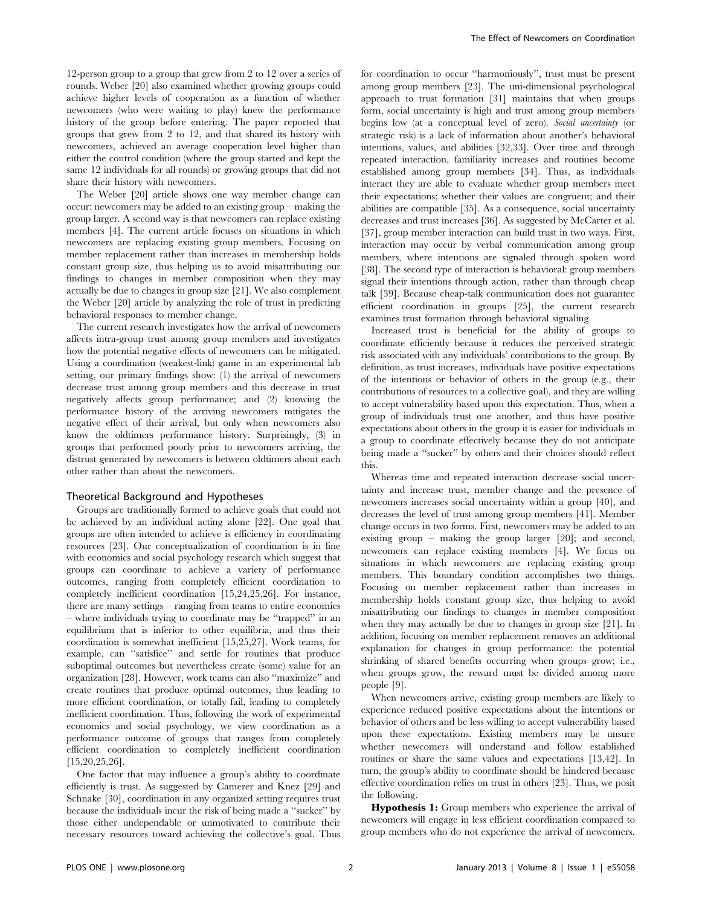12-person group to a group that grew from 2 to 12 over a series of rounds. Weber [20] also examined whether growing groups could achieve higher levels of cooperation as a function of whether newcomers (who were waiting to play) knew the performance history of the group before entering. The paper reported that groups that grew from 2 to 12, and that shared its history with newcomers, achieved an average cooperation level higher than either the control condition (where the group started and kept the same 12 individuals for all rounds) or growing groups that did not share their history with newcomers.

The Weber [20] article shows one way member change can occur: newcomers may be added to an existing group – making the group larger. A second way is that newcomers can replace existing members [4]. The current article focuses on situations in which newcomers are replacing existing group members. Focusing on member replacement rather than increases in membership holds constant group size, thus helping us to avoid misattributing our findings to changes in member composition when they may actually be due to changes in group size [21]. We also complement the Weber [20] article by analyzing the role of trust in predicting behavioral responses to member change.

The current research investigates how the arrival of newcomers affects intra-group trust among group members and investigates how the potential negative effects of newcomers can be mitigated. Using a coordination (weakest-link) game in an experimental lab setting, our primary findings show: (1) the arrival of newcomers decrease trust among group members and this decrease in trust negatively affects group performance; and (2) knowing the performance history of the arriving newcomers mitigates the negative effect of their arrival, but only when newcomers also know the oldtimers performance history. Surprisingly, (3) in groups that performed poorly prior to newcomers arriving, the distrust generated by newcomers is between oldtimers about each other rather than about the newcomers.

#### Theoretical Background and Hypotheses

Groups are traditionally formed to achieve goals that could not be achieved by an individual acting alone [22]. One goal that groups are often intended to achieve is efficiency in coordinating resources [23]. Our conceptualization of coordination is in line with economics and social psychology research which suggest that groups can coordinate to achieve a variety of performance outcomes, ranging from completely efficient coordination to completely inefficient coordination [15,24,25,26]. For instance, there are many settings – ranging from teams to entire economies – where individuals trying to coordinate may be ''trapped'' in an equilibrium that is inferior to other equilibria, and thus their coordination is somewhat inefficient [15,25,27]. Work teams, for example, can ''satisfice'' and settle for routines that produce suboptimal outcomes but nevertheless create (some) value for an organization [28]. However, work teams can also ''maximize'' and create routines that produce optimal outcomes, thus leading to more efficient coordination, or totally fail, leading to completely inefficient coordination. Thus, following the work of experimental economics and social psychology, we view coordination as a performance outcome of groups that ranges from completely efficient coordination to completely inefficient coordination [15,20,25,26].

One factor that may influence a group's ability to coordinate efficiently is trust. As suggested by Camerer and Knez [29] and Schnake [30], coordination in any organized setting requires trust because the individuals incur the risk of being made a ''sucker'' by those either undependable or unmotivated to contribute their necessary resources toward achieving the collective's goal. Thus for coordination to occur ''harmoniously'', trust must be present among group members [23]. The uni-dimensional psychological approach to trust formation [31] maintains that when groups form, social uncertainty is high and trust among group members begins low (at a conceptual level of zero). Social uncertainty (or strategic risk) is a lack of information about another's behavioral intentions, values, and abilities [32,33]. Over time and through repeated interaction, familiarity increases and routines become established among group members [34]. Thus, as individuals interact they are able to evaluate whether group members meet their expectations; whether their values are congruent; and their abilities are compatible [35]. As a consequence, social uncertainty decreases and trust increases [36]. As suggested by McCarter et al. [37], group member interaction can build trust in two ways. First, interaction may occur by verbal communication among group members, where intentions are signaled through spoken word [38]. The second type of interaction is behavioral: group members signal their intentions through action, rather than through cheap talk [39]. Because cheap-talk communication does not guarantee efficient coordination in groups [25], the current research examines trust formation through behavioral signaling.

Increased trust is beneficial for the ability of groups to coordinate efficiently because it reduces the perceived strategic risk associated with any individuals' contributions to the group. By definition, as trust increases, individuals have positive expectations of the intentions or behavior of others in the group (e.g., their contributions of resources to a collective goal), and they are willing to accept vulnerability based upon this expectation. Thus, when a group of individuals trust one another, and thus have positive expectations about others in the group it is easier for individuals in a group to coordinate effectively because they do not anticipate being made a ''sucker'' by others and their choices should reflect this.

Whereas time and repeated interaction decrease social uncertainty and increase trust, member change and the presence of newcomers increases social uncertainty within a group [40], and decreases the level of trust among group members [41]. Member change occurs in two forms. First, newcomers may be added to an existing group – making the group larger [20]; and second, newcomers can replace existing members [4]. We focus on situations in which newcomers are replacing existing group members. This boundary condition accomplishes two things. Focusing on member replacement rather than increases in membership holds constant group size, thus helping to avoid misattributing our findings to changes in member composition when they may actually be due to changes in group size [21]. In addition, focusing on member replacement removes an additional explanation for changes in group performance: the potential shrinking of shared benefits occurring when groups grow; i.e., when groups grow, the reward must be divided among more people [9].

When newcomers arrive, existing group members are likely to experience reduced positive expectations about the intentions or behavior of others and be less willing to accept vulnerability based upon these expectations. Existing members may be unsure whether newcomers will understand and follow established routines or share the same values and expectations [13,42]. In turn, the group's ability to coordinate should be hindered because effective coordination relies on trust in others [23]. Thus, we posit the following.

Hypothesis 1: Group members who experience the arrival of newcomers will engage in less efficient coordination compared to group members who do not experience the arrival of newcomers.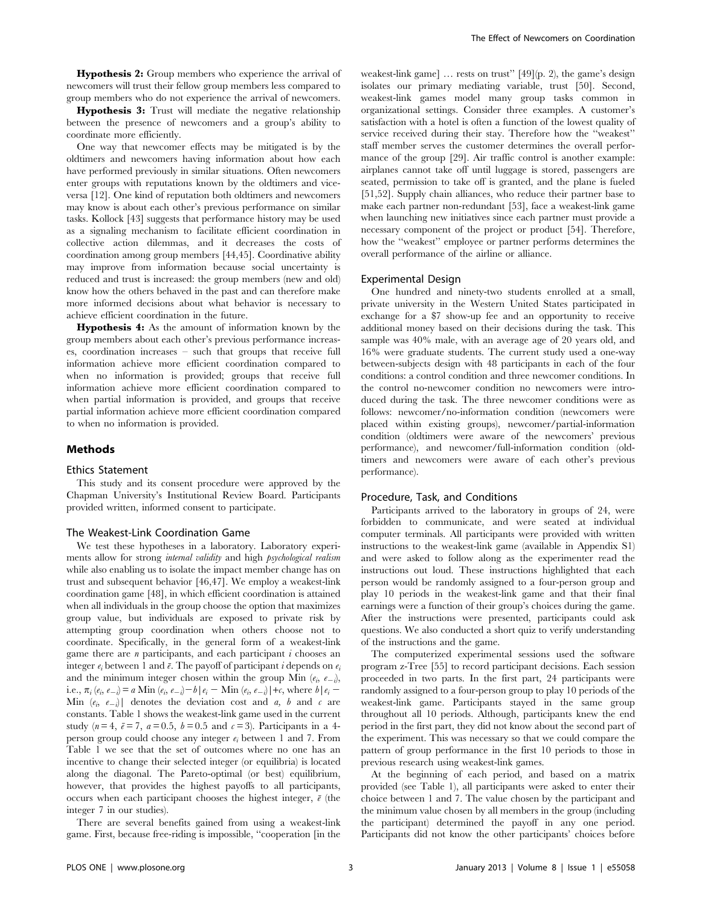Hypothesis 2: Group members who experience the arrival of newcomers will trust their fellow group members less compared to group members who do not experience the arrival of newcomers.

Hypothesis 3: Trust will mediate the negative relationship between the presence of newcomers and a group's ability to coordinate more efficiently.

One way that newcomer effects may be mitigated is by the oldtimers and newcomers having information about how each have performed previously in similar situations. Often newcomers enter groups with reputations known by the oldtimers and viceversa [12]. One kind of reputation both oldtimers and newcomers may know is about each other's previous performance on similar tasks. Kollock [43] suggests that performance history may be used as a signaling mechanism to facilitate efficient coordination in collective action dilemmas, and it decreases the costs of coordination among group members [44,45]. Coordinative ability may improve from information because social uncertainty is reduced and trust is increased: the group members (new and old) know how the others behaved in the past and can therefore make more informed decisions about what behavior is necessary to achieve efficient coordination in the future.

Hypothesis 4: As the amount of information known by the group members about each other's previous performance increases, coordination increases – such that groups that receive full information achieve more efficient coordination compared to when no information is provided; groups that receive full information achieve more efficient coordination compared to when partial information is provided, and groups that receive partial information achieve more efficient coordination compared to when no information is provided.

#### Methods

#### Ethics Statement

This study and its consent procedure were approved by the Chapman University's Institutional Review Board. Participants provided written, informed consent to participate.

#### The Weakest-Link Coordination Game

We test these hypotheses in a laboratory. Laboratory experiments allow for strong internal validity and high psychological realism while also enabling us to isolate the impact member change has on trust and subsequent behavior [46,47]. We employ a weakest-link coordination game [48], in which efficient coordination is attained when all individuals in the group choose the option that maximizes group value, but individuals are exposed to private risk by attempting group coordination when others choose not to coordinate. Specifically, in the general form of a weakest-link game there are  $n$  participants, and each participant  $i$  chooses an integer  $e_i$  between 1 and  $\bar{e}$ . The payoff of participant i depends on  $e_i$ and the minimum integer chosen within the group Min  $(e_i, e_{-i})$ , i.e.,  $\pi_i (e_i, e_{-i}) = a \text{ Min } (e_i, e_{-i}) - b | e_i - \text{ Min } (e_i, e_{-i}) | + c$ , where  $b | e_i -$ Min  $(e_i, e_{-i})$  denotes the deviation cost and a, b and c are constants. Table 1 shows the weakest-link game used in the current study ( $n = 4$ ,  $\bar{e} = 7$ ,  $a = 0.5$ ,  $b = 0.5$  and  $c = 3$ ). Participants in a 4person group could choose any integer  $e_i$  between 1 and 7. From Table 1 we see that the set of outcomes where no one has an incentive to change their selected integer (or equilibria) is located along the diagonal. The Pareto-optimal (or best) equilibrium, however, that provides the highest payoffs to all participants, occurs when each participant chooses the highest integer,  $\bar{e}$  (the integer 7 in our studies).

There are several benefits gained from using a weakest-link game. First, because free-riding is impossible, ''cooperation [in the weakest-link game] … rests on trust'' [49](p. 2), the game's design isolates our primary mediating variable, trust [50]. Second, weakest-link games model many group tasks common in organizational settings. Consider three examples. A customer's satisfaction with a hotel is often a function of the lowest quality of service received during their stay. Therefore how the ''weakest'' staff member serves the customer determines the overall performance of the group [29]. Air traffic control is another example: airplanes cannot take off until luggage is stored, passengers are seated, permission to take off is granted, and the plane is fueled [51,52]. Supply chain alliances, who reduce their partner base to make each partner non-redundant [53], face a weakest-link game when launching new initiatives since each partner must provide a necessary component of the project or product [54]. Therefore, how the ''weakest'' employee or partner performs determines the overall performance of the airline or alliance.

#### Experimental Design

One hundred and ninety-two students enrolled at a small, private university in the Western United States participated in exchange for a \$7 show-up fee and an opportunity to receive additional money based on their decisions during the task. This sample was 40% male, with an average age of 20 years old, and 16% were graduate students. The current study used a one-way between-subjects design with 48 participants in each of the four conditions: a control condition and three newcomer conditions. In the control no-newcomer condition no newcomers were introduced during the task. The three newcomer conditions were as follows: newcomer/no-information condition (newcomers were placed within existing groups), newcomer/partial-information condition (oldtimers were aware of the newcomers' previous performance), and newcomer/full-information condition (oldtimers and newcomers were aware of each other's previous performance).

#### Procedure, Task, and Conditions

Participants arrived to the laboratory in groups of 24, were forbidden to communicate, and were seated at individual computer terminals. All participants were provided with written instructions to the weakest-link game (available in Appendix S1) and were asked to follow along as the experimenter read the instructions out loud. These instructions highlighted that each person would be randomly assigned to a four-person group and play 10 periods in the weakest-link game and that their final earnings were a function of their group's choices during the game. After the instructions were presented, participants could ask questions. We also conducted a short quiz to verify understanding of the instructions and the game.

The computerized experimental sessions used the software program z-Tree [55] to record participant decisions. Each session proceeded in two parts. In the first part, 24 participants were randomly assigned to a four-person group to play 10 periods of the weakest-link game. Participants stayed in the same group throughout all 10 periods. Although, participants knew the end period in the first part, they did not know about the second part of the experiment. This was necessary so that we could compare the pattern of group performance in the first 10 periods to those in previous research using weakest-link games.

At the beginning of each period, and based on a matrix provided (see Table 1), all participants were asked to enter their choice between 1 and 7. The value chosen by the participant and the minimum value chosen by all members in the group (including the participant) determined the payoff in any one period. Participants did not know the other participants' choices before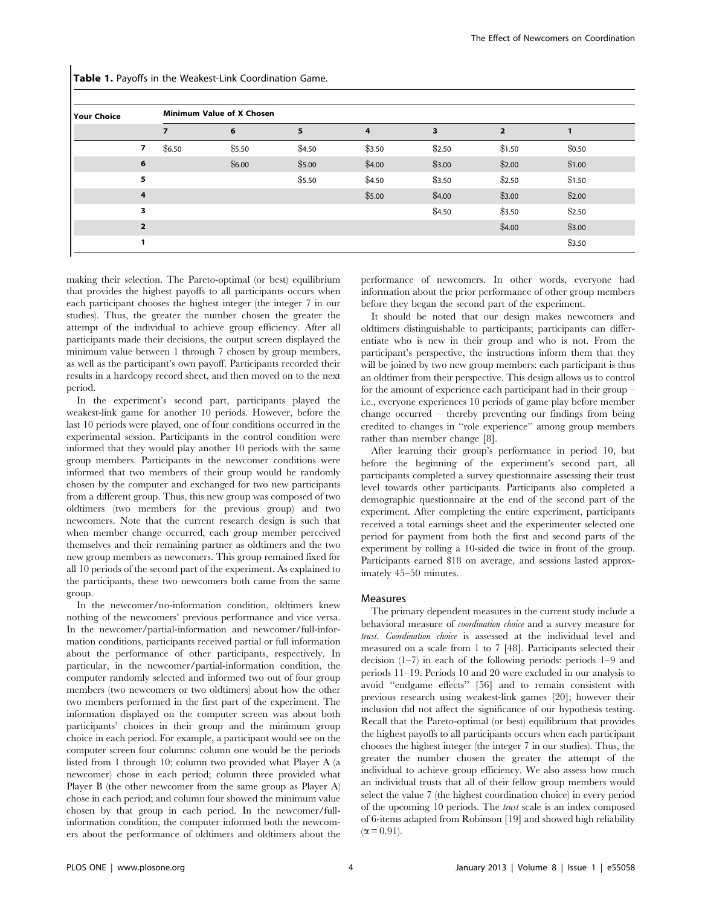| <b>Your Choice</b> |                | <b>Minimum Value of X Chosen</b> |        |        |        |        |                |        |
|--------------------|----------------|----------------------------------|--------|--------|--------|--------|----------------|--------|
|                    |                | 7                                | 6      | 5      | 4      | 3      | $\overline{2}$ | 1      |
|                    | 7              | \$6.50                           | \$5.50 | \$4.50 | \$3.50 | \$2.50 | \$1.50         | \$0.50 |
|                    | 6              |                                  | \$6.00 | \$5.00 | \$4.00 | \$3.00 | \$2.00         | \$1.00 |
|                    | 5              |                                  |        | \$5.50 | \$4.50 | \$3.50 | \$2.50         | \$1.50 |
|                    | 4              |                                  |        |        | \$5.00 | \$4.00 | \$3.00         | \$2.00 |
|                    | з              |                                  |        |        |        | \$4.50 | \$3.50         | \$2.50 |
|                    | $\overline{2}$ |                                  |        |        |        |        | \$4.00         | \$3.00 |
|                    | 1              |                                  |        |        |        |        |                | \$3.50 |

Table 1. Payoffs in the Weakest-Link Coordination Game.

making their selection. The Pareto-optimal (or best) equilibrium that provides the highest payoffs to all participants occurs when each participant chooses the highest integer (the integer 7 in our studies). Thus, the greater the number chosen the greater the attempt of the individual to achieve group efficiency. After all participants made their decisions, the output screen displayed the minimum value between 1 through 7 chosen by group members, as well as the participant's own payoff. Participants recorded their results in a hardcopy record sheet, and then moved on to the next period.

In the experiment's second part, participants played the weakest-link game for another 10 periods. However, before the last 10 periods were played, one of four conditions occurred in the experimental session. Participants in the control condition were informed that they would play another 10 periods with the same group members. Participants in the newcomer conditions were informed that two members of their group would be randomly chosen by the computer and exchanged for two new participants from a different group. Thus, this new group was composed of two oldtimers (two members for the previous group) and two newcomers. Note that the current research design is such that when member change occurred, each group member perceived themselves and their remaining partner as oldtimers and the two new group members as newcomers. This group remained fixed for all 10 periods of the second part of the experiment. As explained to the participants, these two newcomers both came from the same group.

In the newcomer/no-information condition, oldtimers knew nothing of the newcomers' previous performance and vice versa. In the newcomer/partial-information and newcomer/full-information conditions, participants received partial or full information about the performance of other participants, respectively. In particular, in the newcomer/partial-information condition, the computer randomly selected and informed two out of four group members (two newcomers or two oldtimers) about how the other two members performed in the first part of the experiment. The information displayed on the computer screen was about both participants' choices in their group and the minimum group choice in each period. For example, a participant would see on the computer screen four columns: column one would be the periods listed from 1 through 10; column two provided what Player A (a newcomer) chose in each period; column three provided what Player B (the other newcomer from the same group as Player A) chose in each period; and column four showed the minimum value chosen by that group in each period. In the newcomer/fullinformation condition, the computer informed both the newcomers about the performance of oldtimers and oldtimers about the

performance of newcomers. In other words, everyone had information about the prior performance of other group members before they began the second part of the experiment.

It should be noted that our design makes newcomers and oldtimers distinguishable to participants; participants can differentiate who is new in their group and who is not. From the participant's perspective, the instructions inform them that they will be joined by two new group members: each participant is thus an oldtimer from their perspective. This design allows us to control for the amount of experience each participant had in their group – i.e., everyone experiences 10 periods of game play before member change occurred – thereby preventing our findings from being credited to changes in ''role experience'' among group members rather than member change [8].

After learning their group's performance in period 10, but before the beginning of the experiment's second part, all participants completed a survey questionnaire assessing their trust level towards other participants. Participants also completed a demographic questionnaire at the end of the second part of the experiment. After completing the entire experiment, participants received a total earnings sheet and the experimenter selected one period for payment from both the first and second parts of the experiment by rolling a 10-sided die twice in front of the group. Participants earned \$18 on average, and sessions lasted approximately 45–50 minutes.

#### Measures

The primary dependent measures in the current study include a behavioral measure of coordination choice and a survey measure for trust. Coordination choice is assessed at the individual level and measured on a scale from 1 to 7 [48]. Participants selected their decision  $(1-7)$  in each of the following periods: periods  $1-9$  and periods 11–19. Periods 10 and 20 were excluded in our analysis to avoid ''endgame effects'' [56] and to remain consistent with previous research using weakest-link games [20]; however their inclusion did not affect the significance of our hypothesis testing. Recall that the Pareto-optimal (or best) equilibrium that provides the highest payoffs to all participants occurs when each participant chooses the highest integer (the integer 7 in our studies). Thus, the greater the number chosen the greater the attempt of the individual to achieve group efficiency. We also assess how much an individual trusts that all of their fellow group members would select the value 7 (the highest coordination choice) in every period of the upcoming 10 periods. The trust scale is an index composed of 6-items adapted from Robinson [19] and showed high reliability  $(\alpha = 0.91)$ .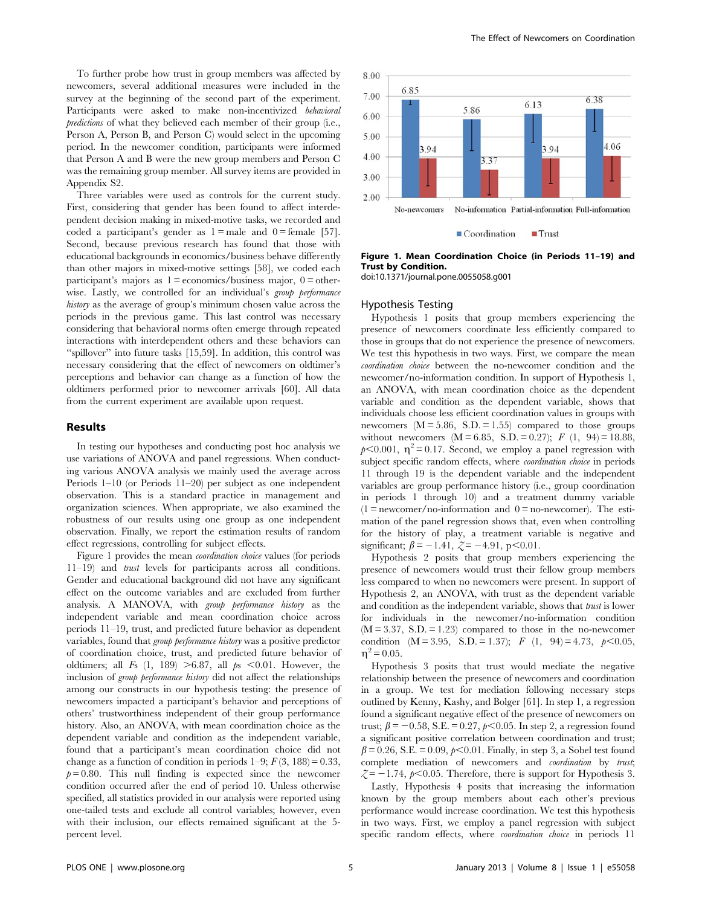To further probe how trust in group members was affected by newcomers, several additional measures were included in the survey at the beginning of the second part of the experiment. Participants were asked to make non-incentivized behavioral predictions of what they believed each member of their group (i.e., Person A, Person B, and Person C) would select in the upcoming period. In the newcomer condition, participants were informed that Person A and B were the new group members and Person C was the remaining group member. All survey items are provided in Appendix S2.

Three variables were used as controls for the current study. First, considering that gender has been found to affect interdependent decision making in mixed-motive tasks, we recorded and coded a participant's gender as  $1 =$ male and  $0 =$  female [57]. Second, because previous research has found that those with educational backgrounds in economics/business behave differently than other majors in mixed-motive settings [58], we coded each participant's majors as  $1 =$  economics/business major,  $0 =$  otherwise. Lastly, we controlled for an individual's group performance history as the average of group's minimum chosen value across the periods in the previous game. This last control was necessary considering that behavioral norms often emerge through repeated interactions with interdependent others and these behaviors can ''spillover'' into future tasks [15,59]. In addition, this control was necessary considering that the effect of newcomers on oldtimer's perceptions and behavior can change as a function of how the oldtimers performed prior to newcomer arrivals [60]. All data from the current experiment are available upon request.

#### Results

In testing our hypotheses and conducting post hoc analysis we use variations of ANOVA and panel regressions. When conducting various ANOVA analysis we mainly used the average across Periods 1–10 (or Periods 11–20) per subject as one independent observation. This is a standard practice in management and organization sciences. When appropriate, we also examined the robustness of our results using one group as one independent observation. Finally, we report the estimation results of random effect regressions, controlling for subject effects.

Figure 1 provides the mean coordination choice values (for periods 11–19) and trust levels for participants across all conditions. Gender and educational background did not have any significant effect on the outcome variables and are excluded from further analysis. A MANOVA, with group performance history as the independent variable and mean coordination choice across periods 11–19, trust, and predicted future behavior as dependent variables, found that group performance history was a positive predictor of coordination choice, trust, and predicted future behavior of oldtimers; all  $F_s$  (1, 189)  $>6.87$ , all  $ps$  <0.01. However, the inclusion of group performance history did not affect the relationships among our constructs in our hypothesis testing: the presence of newcomers impacted a participant's behavior and perceptions of others' trustworthiness independent of their group performance history. Also, an ANOVA, with mean coordination choice as the dependent variable and condition as the independent variable, found that a participant's mean coordination choice did not change as a function of condition in periods  $1-9$ ;  $F(3, 188) = 0.33$ ,  $p = 0.80$ . This null finding is expected since the newcomer condition occurred after the end of period 10. Unless otherwise specified, all statistics provided in our analysis were reported using one-tailed tests and exclude all control variables; however, even with their inclusion, our effects remained significant at the 5 percent level.



Figure 1. Mean Coordination Choice (in Periods 11–19) and Trust by Condition.

doi:10.1371/journal.pone.0055058.g001

#### Hypothesis Testing

Hypothesis 1 posits that group members experiencing the presence of newcomers coordinate less efficiently compared to those in groups that do not experience the presence of newcomers. We test this hypothesis in two ways. First, we compare the mean coordination choice between the no-newcomer condition and the newcomer/no-information condition. In support of Hypothesis 1, an ANOVA, with mean coordination choice as the dependent variable and condition as the dependent variable, shows that individuals choose less efficient coordination values in groups with newcomers  $(M = 5.86, S.D. = 1.55)$  compared to those groups without newcomers  $(M = 6.85, S.D. = 0.27); F (1, 94) = 18.88,$  $p<0.001$ ,  $\eta^2=0.17$ . Second, we employ a panel regression with subject specific random effects, where *coordination choice* in periods 11 through 19 is the dependent variable and the independent variables are group performance history (i.e., group coordination in periods 1 through 10) and a treatment dummy variable  $(1 =$  newcomer/no-information and  $0 =$  no-newcomer). The estimation of the panel regression shows that, even when controlling for the history of play, a treatment variable is negative and significant;  $\beta = -1.41$ ,  $\zeta = -4.91$ , p $< 0.01$ .

Hypothesis 2 posits that group members experiencing the presence of newcomers would trust their fellow group members less compared to when no newcomers were present. In support of Hypothesis 2, an ANOVA, with trust as the dependent variable and condition as the independent variable, shows that trust is lower for individuals in the newcomer/no-information condition  $(M = 3.37, S.D. = 1.23)$  compared to those in the no-newcomer condition (M = 3.95, S.D. = 1.37);  $F(1, 94) = 4.73, p < 0.05$ ,  $\eta^2 = 0.05$ .

Hypothesis 3 posits that trust would mediate the negative relationship between the presence of newcomers and coordination in a group. We test for mediation following necessary steps outlined by Kenny, Kashy, and Bolger [61]. In step 1, a regression found a significant negative effect of the presence of newcomers on trust;  $\beta = -0.58$ , S.E. = 0.27,  $p < 0.05$ . In step 2, a regression found a significant positive correlation between coordination and trust;  $\beta = 0.26$ , S.E. = 0.09,  $p < 0.01$ . Finally, in step 3, a Sobel test found complete mediation of newcomers and coordination by trust;  $\zeta = -1.74$ ,  $p<0.05$ . Therefore, there is support for Hypothesis 3. Lastly, Hypothesis 4 posits that increasing the information

known by the group members about each other's previous performance would increase coordination. We test this hypothesis in two ways. First, we employ a panel regression with subject specific random effects, where coordination choice in periods 11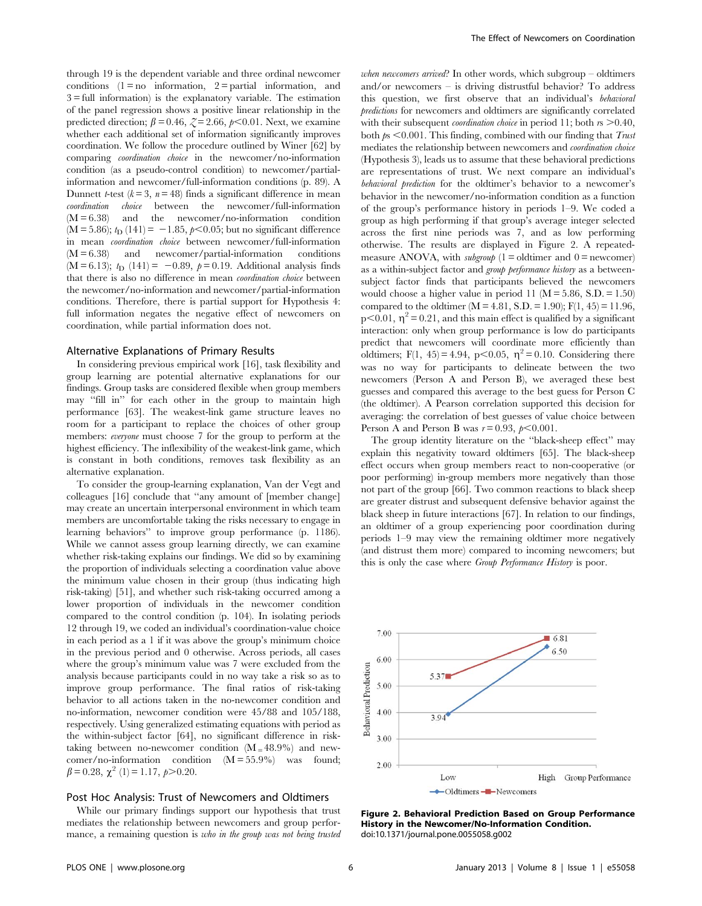through 19 is the dependent variable and three ordinal newcomer conditions  $(1 = no$  information,  $2 = partial$  information, and  $3 =$  full information) is the explanatory variable. The estimation of the panel regression shows a positive linear relationship in the predicted direction;  $\beta = 0.46$ ,  $\zeta = 2.66$ ,  $\rho < 0.01$ . Next, we examine whether each additional set of information significantly improves coordination. We follow the procedure outlined by Winer [62] by comparing coordination choice in the newcomer/no-information condition (as a pseudo-control condition) to newcomer/partialinformation and newcomer/full-information conditions (p. 89). A Dunnett t-test ( $k = 3$ ,  $n = 48$ ) finds a significant difference in mean coordination choice between the newcomer/full-information  $(M = 6.38)$  and the newcomer/no-information condition  $(M = 5.86)$ ;  $t_D$  (141) = -1.85,  $p < 0.05$ ; but no significant difference in mean coordination choice between newcomer/full-information  $(M = 6.38)$  and newcomer/partial-information conditions (M = 6.13);  $t_D$  (141) = -0.89,  $p = 0.19$ . Additional analysis finds that there is also no difference in mean coordination choice between the newcomer/no-information and newcomer/partial-information conditions. Therefore, there is partial support for Hypothesis 4: full information negates the negative effect of newcomers on coordination, while partial information does not.

#### Alternative Explanations of Primary Results

In considering previous empirical work [16], task flexibility and group learning are potential alternative explanations for our findings. Group tasks are considered flexible when group members may ''fill in'' for each other in the group to maintain high performance [63]. The weakest-link game structure leaves no room for a participant to replace the choices of other group members: everyone must choose 7 for the group to perform at the highest efficiency. The inflexibility of the weakest-link game, which is constant in both conditions, removes task flexibility as an alternative explanation.

To consider the group-learning explanation, Van der Vegt and colleagues [16] conclude that ''any amount of [member change] may create an uncertain interpersonal environment in which team members are uncomfortable taking the risks necessary to engage in learning behaviors'' to improve group performance (p. 1186). While we cannot assess group learning directly, we can examine whether risk-taking explains our findings. We did so by examining the proportion of individuals selecting a coordination value above the minimum value chosen in their group (thus indicating high risk-taking) [51], and whether such risk-taking occurred among a lower proportion of individuals in the newcomer condition compared to the control condition (p. 104). In isolating periods 12 through 19, we coded an individual's coordination-value choice in each period as a 1 if it was above the group's minimum choice in the previous period and 0 otherwise. Across periods, all cases where the group's minimum value was 7 were excluded from the analysis because participants could in no way take a risk so as to improve group performance. The final ratios of risk-taking behavior to all actions taken in the no-newcomer condition and no-information, newcomer condition were 45/88 and 105/188, respectively. Using generalized estimating equations with period as the within-subject factor [64], no significant difference in risktaking between no-newcomer condition  $(M_448.9\%)$  and newcomer/no-information condition  $(M = 55.9\%)$  was found;  $\beta$  = 0.28,  $\chi^2$  (1) = 1.17,  $p$  > 0.20.

#### Post Hoc Analysis: Trust of Newcomers and Oldtimers

While our primary findings support our hypothesis that trust mediates the relationship between newcomers and group performance, a remaining question is who in the group was not being trusted when newcomers arrived? In other words, which subgroup – oldtimers and/or newcomers – is driving distrustful behavior? To address this question, we first observe that an individual's behavioral predictions for newcomers and oldtimers are significantly correlated with their subsequent *coordination choice* in period 11; both  $r_s > 0.40$ , both  $ps \leq 0.001$ . This finding, combined with our finding that Trust mediates the relationship between newcomers and coordination choice (Hypothesis 3), leads us to assume that these behavioral predictions are representations of trust. We next compare an individual's behavioral prediction for the oldtimer's behavior to a newcomer's behavior in the newcomer/no-information condition as a function of the group's performance history in periods 1–9. We coded a group as high performing if that group's average integer selected across the first nine periods was 7, and as low performing otherwise. The results are displayed in Figure 2. A repeatedmeasure ANOVA, with *subgroup*  $(1 = \text{oldtimer} \text{ and } 0 = \text{newcorner})$ as a within-subject factor and group performance history as a betweensubject factor finds that participants believed the newcomers would choose a higher value in period 11 ( $M = 5.86$ , S.D. = 1.50) compared to the oldtimer  $(M = 4.81, S.D. = 1.90)$ ;  $F(1, 45) = 11.96$ ,  $p<0.01$ ,  $\eta^2=0.21$ , and this main effect is qualified by a significant interaction: only when group performance is low do participants predict that newcomers will coordinate more efficiently than oldtimers; F(1, 45) = 4.94, p<0.05,  $\eta^2 = 0.10$ . Considering there was no way for participants to delineate between the two newcomers (Person A and Person B), we averaged these best guesses and compared this average to the best guess for Person C (the oldtimer). A Pearson correlation supported this decision for averaging: the correlation of best guesses of value choice between Person A and Person B was  $r = 0.93$ ,  $p < 0.001$ .

The group identity literature on the ''black-sheep effect'' may explain this negativity toward oldtimers [65]. The black-sheep effect occurs when group members react to non-cooperative (or poor performing) in-group members more negatively than those not part of the group [66]. Two common reactions to black sheep are greater distrust and subsequent defensive behavior against the black sheep in future interactions [67]. In relation to our findings, an oldtimer of a group experiencing poor coordination during periods 1–9 may view the remaining oldtimer more negatively (and distrust them more) compared to incoming newcomers; but this is only the case where Group Performance History is poor.



Figure 2. Behavioral Prediction Based on Group Performance History in the Newcomer/No-Information Condition. doi:10.1371/journal.pone.0055058.g002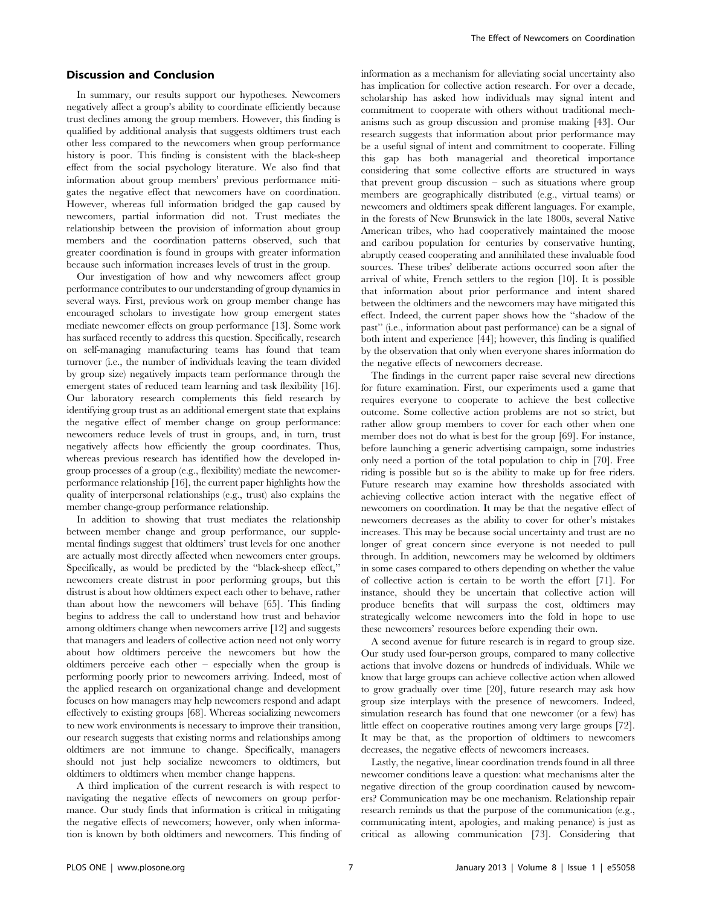#### Discussion and Conclusion

In summary, our results support our hypotheses. Newcomers negatively affect a group's ability to coordinate efficiently because trust declines among the group members. However, this finding is qualified by additional analysis that suggests oldtimers trust each other less compared to the newcomers when group performance history is poor. This finding is consistent with the black-sheep effect from the social psychology literature. We also find that information about group members' previous performance mitigates the negative effect that newcomers have on coordination. However, whereas full information bridged the gap caused by newcomers, partial information did not. Trust mediates the relationship between the provision of information about group members and the coordination patterns observed, such that greater coordination is found in groups with greater information because such information increases levels of trust in the group.

Our investigation of how and why newcomers affect group performance contributes to our understanding of group dynamics in several ways. First, previous work on group member change has encouraged scholars to investigate how group emergent states mediate newcomer effects on group performance [13]. Some work has surfaced recently to address this question. Specifically, research on self-managing manufacturing teams has found that team turnover (i.e., the number of individuals leaving the team divided by group size) negatively impacts team performance through the emergent states of reduced team learning and task flexibility [16]. Our laboratory research complements this field research by identifying group trust as an additional emergent state that explains the negative effect of member change on group performance: newcomers reduce levels of trust in groups, and, in turn, trust negatively affects how efficiently the group coordinates. Thus, whereas previous research has identified how the developed ingroup processes of a group (e.g., flexibility) mediate the newcomerperformance relationship [16], the current paper highlights how the quality of interpersonal relationships (e.g., trust) also explains the member change-group performance relationship.

In addition to showing that trust mediates the relationship between member change and group performance, our supplemental findings suggest that oldtimers' trust levels for one another are actually most directly affected when newcomers enter groups. Specifically, as would be predicted by the ''black-sheep effect,'' newcomers create distrust in poor performing groups, but this distrust is about how oldtimers expect each other to behave, rather than about how the newcomers will behave [65]. This finding begins to address the call to understand how trust and behavior among oldtimers change when newcomers arrive [12] and suggests that managers and leaders of collective action need not only worry about how oldtimers perceive the newcomers but how the oldtimers perceive each other – especially when the group is performing poorly prior to newcomers arriving. Indeed, most of the applied research on organizational change and development focuses on how managers may help newcomers respond and adapt effectively to existing groups [68]. Whereas socializing newcomers to new work environments is necessary to improve their transition, our research suggests that existing norms and relationships among oldtimers are not immune to change. Specifically, managers should not just help socialize newcomers to oldtimers, but oldtimers to oldtimers when member change happens.

A third implication of the current research is with respect to navigating the negative effects of newcomers on group performance. Our study finds that information is critical in mitigating the negative effects of newcomers; however, only when information is known by both oldtimers and newcomers. This finding of information as a mechanism for alleviating social uncertainty also has implication for collective action research. For over a decade, scholarship has asked how individuals may signal intent and commitment to cooperate with others without traditional mechanisms such as group discussion and promise making [43]. Our research suggests that information about prior performance may be a useful signal of intent and commitment to cooperate. Filling this gap has both managerial and theoretical importance considering that some collective efforts are structured in ways that prevent group discussion – such as situations where group members are geographically distributed (e.g., virtual teams) or newcomers and oldtimers speak different languages. For example, in the forests of New Brunswick in the late 1800s, several Native American tribes, who had cooperatively maintained the moose and caribou population for centuries by conservative hunting, abruptly ceased cooperating and annihilated these invaluable food sources. These tribes' deliberate actions occurred soon after the arrival of white, French settlers to the region [10]. It is possible that information about prior performance and intent shared between the oldtimers and the newcomers may have mitigated this effect. Indeed, the current paper shows how the ''shadow of the past'' (i.e., information about past performance) can be a signal of both intent and experience [44]; however, this finding is qualified by the observation that only when everyone shares information do the negative effects of newcomers decrease.

The findings in the current paper raise several new directions for future examination. First, our experiments used a game that requires everyone to cooperate to achieve the best collective outcome. Some collective action problems are not so strict, but rather allow group members to cover for each other when one member does not do what is best for the group [69]. For instance, before launching a generic advertising campaign, some industries only need a portion of the total population to chip in [70]. Free riding is possible but so is the ability to make up for free riders. Future research may examine how thresholds associated with achieving collective action interact with the negative effect of newcomers on coordination. It may be that the negative effect of newcomers decreases as the ability to cover for other's mistakes increases. This may be because social uncertainty and trust are no longer of great concern since everyone is not needed to pull through. In addition, newcomers may be welcomed by oldtimers in some cases compared to others depending on whether the value of collective action is certain to be worth the effort [71]. For instance, should they be uncertain that collective action will produce benefits that will surpass the cost, oldtimers may strategically welcome newcomers into the fold in hope to use these newcomers' resources before expending their own.

A second avenue for future research is in regard to group size. Our study used four-person groups, compared to many collective actions that involve dozens or hundreds of individuals. While we know that large groups can achieve collective action when allowed to grow gradually over time [20], future research may ask how group size interplays with the presence of newcomers. Indeed, simulation research has found that one newcomer (or a few) has little effect on cooperative routines among very large groups [72]. It may be that, as the proportion of oldtimers to newcomers decreases, the negative effects of newcomers increases.

Lastly, the negative, linear coordination trends found in all three newcomer conditions leave a question: what mechanisms alter the negative direction of the group coordination caused by newcomers? Communication may be one mechanism. Relationship repair research reminds us that the purpose of the communication (e.g., communicating intent, apologies, and making penance) is just as critical as allowing communication [73]. Considering that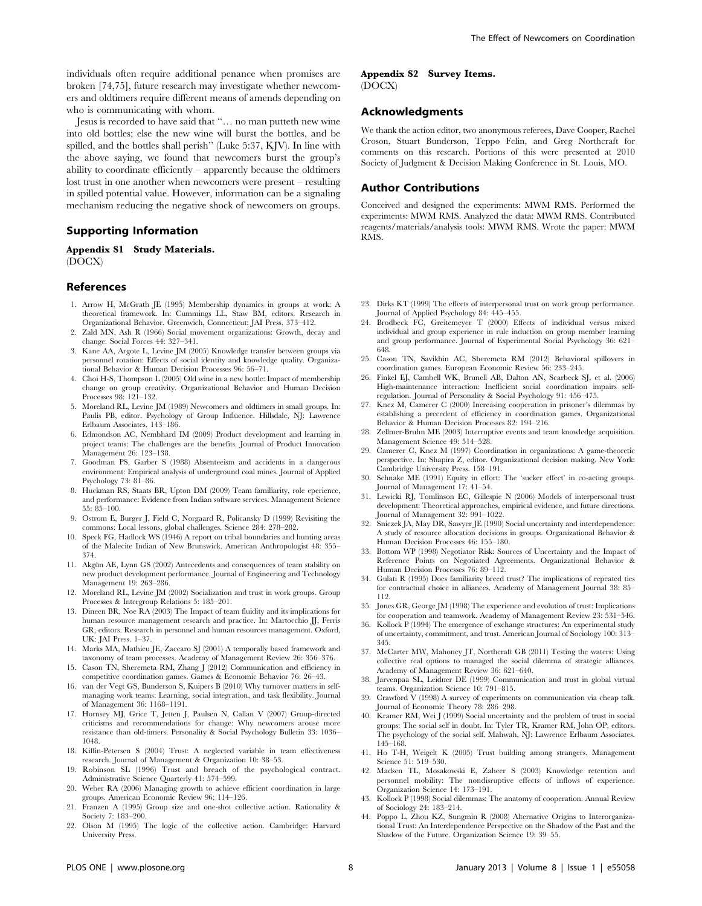individuals often require additional penance when promises are broken [74,75], future research may investigate whether newcomers and oldtimers require different means of amends depending on who is communicating with whom.

Jesus is recorded to have said that ''… no man putteth new wine into old bottles; else the new wine will burst the bottles, and be spilled, and the bottles shall perish'' (Luke 5:37, KJV). In line with the above saying, we found that newcomers burst the group's ability to coordinate efficiently – apparently because the oldtimers lost trust in one another when newcomers were present – resulting in spilled potential value. However, information can be a signaling mechanism reducing the negative shock of newcomers on groups.

#### Supporting Information

Appendix S1 Study Materials. (DOCX)

#### References

- 1. Arrow H, McGrath JE (1995) Membership dynamics in groups at work: A theoretical framework. In: Cummings LL, Staw BM, editors. Research in Organizational Behavior. Greenwich, Connecticut: JAI Press. 373–412.
- 2. Zald MN, Ash R (1966) Social movement organizations: Growth, decay and change. Social Forces 44: 327–341.
- 3. Kane AA, Argote L, Levine JM (2005) Knowledge transfer between groups via personnel rotation: Effects of social identity and knowledge quality. Organizational Behavior & Human Decision Processes 96: 56–71.
- 4. Choi H-S, Thompson L (2005) Old wine in a new bottle: Impact of membership change on group creativity. Organizational Behavior and Human Decision Processes 98: 121–132.
- 5. Moreland RL, Levine JM (1989) Newcomers and oldtimers in small groups. In: Paulis PB, editor. Psychology of Group Influence. Hillsdale, NJ: Lawrence Erlbaum Associates. 143–186.
- 6. Edmondson AC, Nembhard IM (2009) Product development and learning in project teams: The challenges are the benefits. Journal of Product Innovation Management 26: 123–138.
- 7. Goodman PS, Garber S (1988) Absenteeism and accidents in a dangerous environment: Empirical analysis of underground coal mines. Journal of Applied Psychology 73: 81–86.
- 8. Huckman RS, Staats BR, Upton DM (2009) Team familiarity, role eperience, and performance: Evidence from Indian software services. Management Science 55: 85–100.
- 9. Ostrom E, Burger J, Field C, Norgaard R, Policansky D (1999) Revisiting the commons: Local lessons, global challenges. Science 284: 278–282.
- 10. Speck FG, Hadlock WS (1946) A report on tribal boundaries and hunting areas of the Malecite Indian of New Brunswick. American Anthropologist 48: 355– 374.
- 11. Akgün AE, Lynn GS (2002) Antecedents and consequences of team stability on new product development performance. Journal of Engineering and Technology Management 19: 263–286.
- 12. Moreland RL, Levine JM (2002) Socialization and trust in work groups. Group Processes & Intergroup Relations 5: 185–201.
- 13. Dineen BR, Noe RA (2003) The Impact of team fluidity and its implications for human resource management research and practice. In: Martocchio JJ, Ferris GR, editors. Research in personnel and human resources management. Oxford, UK: JAI Press. 1–37.
- 14. Marks MA, Mathieu JE, Zaccaro SJ (2001) A temporally based framework and taxonomy of team processes. Academy of Management Review 26: 356–376.
- 15. Cason TN, Sheremeta RM, Zhang J (2012) Communication and efficiency in competitive coordination games. Games & Economic Behavior 76: 26–43.
- 16. van der Vegt GS, Bunderson S, Kuipers B (2010) Why turnover matters in selfmanaging work teams: Learning, social integration, and task flexibility. Journal of Management 36: 1168–1191.
- 17. Hornsey MJ, Grice T, Jetten J, Paulsen N, Callan V (2007) Group-directed criticisms and recommendations for change: Why newcomers arouse more resistance than old-timers. Personality & Social Psychology Bulletin 33: 1036– 1048.
- 18. Kiffin-Petersen S (2004) Trust: A neglected variable in team effectiveness research. Journal of Management & Organization 10: 38–53.
- 19. Robinson SL (1996) Trust and breach of the psychological contract. Administrative Science Quarterly 41: 574–599.
- 20. Weber RA (2006) Managing growth to achieve efficient coordination in large groups. American Economic Review 96: 114–126.
- 21. Franzen A (1995) Group size and one-shot collective action. Rationality & Society 7: 183–200.
- 22. Olson M (1995) The logic of the collective action. Cambridge: Harvard University Press.

#### Appendix S2 Survey Items. (DOCX)

#### Acknowledgments

We thank the action editor, two anonymous referees, Dave Cooper, Rachel Croson, Stuart Bunderson, Teppo Felin, and Greg Northcraft for comments on this research. Portions of this were presented at 2010 Society of Judgment & Decision Making Conference in St. Louis, MO.

#### Author Contributions

Conceived and designed the experiments: MWM RMS. Performed the experiments: MWM RMS. Analyzed the data: MWM RMS. Contributed reagents/materials/analysis tools: MWM RMS. Wrote the paper: MWM RMS.

- 23. Dirks KT (1999) The effects of interpersonal trust on work group performance. Journal of Applied Psychology 84: 445–455.
- 24. Brodbeck FC, Greitemeyer T (2000) Effects of individual versus mixed individual and group experience in rule induction on group member learning and group performance. Journal of Experimental Social Psychology 36: 621– 648.
- 25. Cason TN, Savikhin AC, Sheremeta RM (2012) Behavioral spillovers in coordination games. European Economic Review 56: 233–245.
- 26. Finkel EJ, Cambell WK, Brunell AB, Dalton AN, Scarbeck SJ, et al. (2006) High-maintenance interaction: Inefficient social coordination impairs selfregulation. Journal of Personality & Social Psychology 91: 456–475.
- 27. Knez M, Camerer C (2000) Increasing cooperation in prisoner's dilemmas by establishing a precedent of efficiency in coordination games. Organizational Behavior & Human Decision Processes 82: 194–216.
- 28. Zellmer-Bruhn ME (2003) Interruptive events and team knowledge acquisition. Management Science 49: 514–528.
- 29. Camerer C, Knez M (1997) Coordination in organizations: A game-theoretic perspective. In: Shapira Z, editor. Organizational decision making. New York: Cambridge University Press. 158–191.
- 30. Schnake ME (1991) Equity in effort: The 'sucker effect' in co-acting groups. Journal of Management 17: 41–54.
- 31. Lewicki RJ, Tomlinson EC, Gillespie N (2006) Models of interpersonal trust development: Theoretical approaches, empirical evidence, and future directions. Journal of Management 32: 991–1022.
- 32. Sniezek JA, May DR, Sawyer JE (1990) Social uncertainty and interdependence: A study of resource allocation decisions in groups. Organizational Behavior & Human Decision Processes 46: 155–180.
- 33. Bottom WP (1998) Negotiator Risk: Sources of Uncertainty and the Impact of Reference Points on Negotiated Agreements. Organizational Behavior & Human Decision Processes 76: 89–112.
- 34. Gulati R (1995) Does familiarity breed trust? The implications of repeated ties for contractual choice in alliances. Academy of Management Journal 38: 85– 112.
- 35. Jones GR, George JM (1998) The experience and evolution of trust: Implications for cooperation and teamwork. Academy of Management Review 23: 531–546.
- 36. Kollock P (1994) The emergence of exchange structures: An experimental study of uncertainty, commitment, and trust. American Journal of Sociology 100: 313– 345.
- 37. McCarter MW, Mahoney JT, Northcraft GB (2011) Testing the waters: Using collective real options to managed the social dilemma of strategic alliances. Academy of Management Review 36: 621–640.
- 38. Jarvenpaa SL, Leidner DE (1999) Communication and trust in global virtual teams. Organization Science 10: 791–815.
- 39. Crawford  $\mathrm{\breve{V}}$  (1998) A survey of experiments on communication via cheap talk. Journal of Economic Theory 78: 286–298.
- 40. Kramer RM, Wei J (1999) Social uncertainty and the problem of trust in social groups: The social self in doubt. In: Tyler TR, Kramer RM, John OP, editors. The psychology of the social self. Mahwah, NJ: Lawrence Erlbaum Associates. 145–168.
- 41. Ho T-H, Weigelt K (2005) Trust building among strangers. Management Science 51: 519–530.
- 42. Madsen TL, Mosakowski E, Zaheer S (2003) Knowledge retention and personnel mobility: The nondisruptive effects of inflows of experience. Organization Science 14: 173–191.
- 43. Kollock P (1998) Social dilemmas: The anatomy of cooperation. Annual Review of Sociology 24: 183–214.
- 44. Poppo L, Zhou KZ, Sungmin R (2008) Alternative Origins to Interorganizational Trust: An Interdependence Perspective on the Shadow of the Past and the Shadow of the Future. Organization Science 19: 39–55.